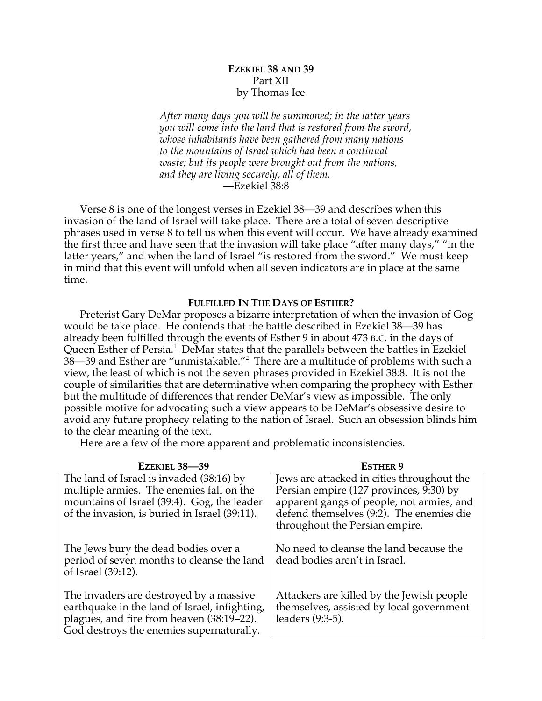# **EZEKIEL 38 AND 39** Part XII by Thomas Ice

*After many days you will be summoned; in the latter years you will come into the land that is restored from the sword, whose inhabitants have been gathered from many nations to the mountains of Israel which had been a continual waste; but its people were brought out from the nations, and they are living securely, all of them.* —Ezekiel 38:8

Verse 8 is one of the longest verses in Ezekiel 38—39 and describes when this invasion of the land of Israel will take place. There are a total of seven descriptive phrases used in verse 8 to tell us when this event will occur. We have already examined the first three and have seen that the invasion will take place "after many days," "in the latter years," and when the land of Israel "is restored from the sword." We must keep in mind that this event will unfold when all seven indicators are in place at the same time.

## **FULFILLED IN THE DAYS OF ESTHER?**

Preterist Gary DeMar proposes a bizarre interpretation of when the invasion of Gog would be take place. He contends that the battle described in Ezekiel 38—39 has already been fulfilled through the events of Esther 9 in about 473 B.C. in the days of Queen Esther of Persia. $^1$  DeMar states that the parallels between the battles in Ezekiel 38—39 and Esther are "unmistakable."<sup>2</sup> There are a multitude of problems with such a view, the least of which is not the seven phrases provided in Ezekiel 38:8. It is not the couple of similarities that are determinative when comparing the prophecy with Esther but the multitude of differences that render DeMar's view as impossible. The only possible motive for advocating such a view appears to be DeMar's obsessive desire to avoid any future prophecy relating to the nation of Israel. Such an obsession blinds him to the clear meaning of the text.

Here are a few of the more apparent and problematic inconsistencies.

| <b>EZEKIEL 38-39</b>                                                                                                                                                                 | <b>ESTHER 9</b>                                                                                                                                                                                                  |
|--------------------------------------------------------------------------------------------------------------------------------------------------------------------------------------|------------------------------------------------------------------------------------------------------------------------------------------------------------------------------------------------------------------|
| The land of Israel is invaded (38:16) by<br>multiple armies. The enemies fall on the<br>mountains of Israel (39:4). Gog, the leader<br>of the invasion, is buried in Israel (39:11). | Jews are attacked in cities throughout the<br>Persian empire (127 provinces, 9:30) by<br>apparent gangs of people, not armies, and<br>defend themselves (9:2). The enemies die<br>throughout the Persian empire. |
| The Jews bury the dead bodies over a<br>period of seven months to cleanse the land<br>of Israel (39:12).                                                                             | No need to cleanse the land because the<br>dead bodies aren't in Israel.                                                                                                                                         |
| The invaders are destroyed by a massive<br>earthquake in the land of Israel, infighting,<br>plagues, and fire from heaven (38:19–22).<br>God destroys the enemies supernaturally.    | Attackers are killed by the Jewish people<br>themselves, assisted by local government<br>leaders (9:3-5).                                                                                                        |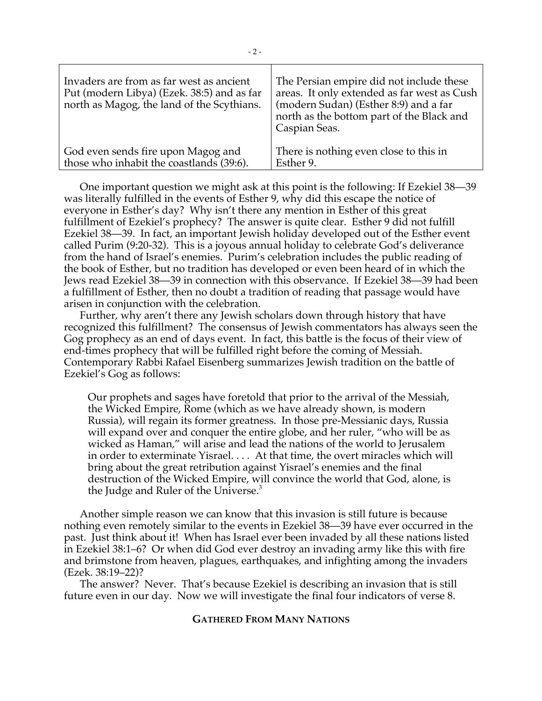| Invaders are from as far west as ancient<br>Put (modern Libya) (Ezek. 38:5) and as far<br>north as Magog, the land of the Scythians. | The Persian empire did not include these<br>areas. It only extended as far west as Cush<br>(modern Sudan) (Esther 8:9) and a far<br>north as the bottom part of the Black and<br>Caspian Seas. |
|--------------------------------------------------------------------------------------------------------------------------------------|------------------------------------------------------------------------------------------------------------------------------------------------------------------------------------------------|
| God even sends fire upon Magog and                                                                                                   | There is nothing even close to this in                                                                                                                                                         |
| those who inhabit the coastlands (39:6).                                                                                             | Esther 9.                                                                                                                                                                                      |

One important question we might ask at this point is the following: If Ezekiel 38—39 was literally fulfilled in the events of Esther 9, why did this escape the notice of everyone in Esther's day? Why isn't there any mention in Esther of this great fulfillment of Ezekiel's prophecy? The answer is quite clear. Esther 9 did not fulfill Ezekiel 38—39. In fact, an important Jewish holiday developed out of the Esther event called Purim (9:20-32). This is a joyous annual holiday to celebrate God's deliverance from the hand of Israel's enemies. Purim's celebration includes the public reading of the book of Esther, but no tradition has developed or even been heard of in which the Jews read Ezekiel 38—39 in connection with this observance. If Ezekiel 38—39 had been a fulfillment of Esther, then no doubt a tradition of reading that passage would have arisen in conjunction with the celebration.

Further, why aren't there any Jewish scholars down through history that have recognized this fulfillment? The consensus of Jewish commentators has always seen the Gog prophecy as an end of days event. In fact, this battle is the focus of their view of end-times prophecy that will be fulfilled right before the coming of Messiah. Contemporary Rabbi Rafael Eisenberg summarizes Jewish tradition on the battle of Ezekiel's Gog as follows:

Our prophets and sages have foretold that prior to the arrival of the Messiah, the Wicked Empire, Rome (which as we have already shown, is modern Russia), will regain its former greatness. In those pre-Messianic days, Russia will expand over and conquer the entire globe, and her ruler, "who will be as wicked as Haman," will arise and lead the nations of the world to Jerusalem in order to exterminate Yisrael. . . . At that time, the overt miracles which will bring about the great retribution against Yisrael's enemies and the final destruction of the Wicked Empire, will convince the world that God, alone, is the Judge and Ruler of the Universe. $3$ 

Another simple reason we can know that this invasion is still future is because nothing even remotely similar to the events in Ezekiel 38—39 have ever occurred in the past. Just think about it! When has Israel ever been invaded by all these nations listed in Ezekiel 38:1–6? Or when did God ever destroy an invading army like this with fire and brimstone from heaven, plagues, earthquakes, and infighting among the invaders (Ezek. 38:19–22)?

The answer? Never. That's because Ezekiel is describing an invasion that is still future even in our day. Now we will investigate the final four indicators of verse 8.

## **GATHERED FROM MANY NATIONS**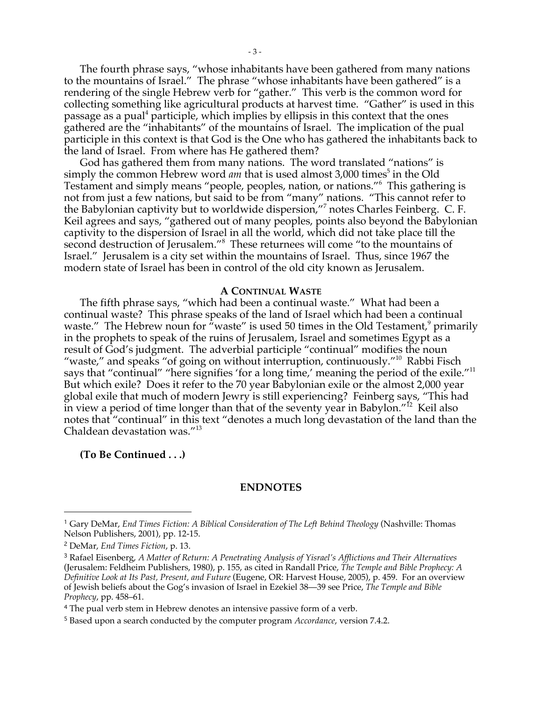The fourth phrase says, "whose inhabitants have been gathered from many nations to the mountains of Israel." The phrase "whose inhabitants have been gathered" is a rendering of the single Hebrew verb for "gather." This verb is the common word for collecting something like agricultural products at harvest time. "Gather" is used in this passage as a pual<sup>4</sup> participle, which implies by ellipsis in this context that the ones gathered are the "inhabitants" of the mountains of Israel. The implication of the pual participle in this context is that God is the One who has gathered the inhabitants back to the land of Israel. From where has He gathered them?

God has gathered them from many nations. The word translated "nations" is simply the common Hebrew word *am* that is used almost 3,000 times<sup>5</sup> in the Old Testament and simply means "people, peoples, nation, or nations."<sup>6</sup> This gathering is not from just a few nations, but said to be from "many" nations. "This cannot refer to the Babylonian captivity but to worldwide dispersion,"<sup>7</sup> notes Charles Feinberg. C. F. Keil agrees and says, "gathered out of many peoples, points also beyond the Babylonian captivity to the dispersion of Israel in all the world, which did not take place till the second destruction of Jerusalem."<sup>8</sup> These returnees will come "to the mountains of Israel." Jerusalem is a city set within the mountains of Israel. Thus, since 1967 the modern state of Israel has been in control of the old city known as Jerusalem.

#### **A CONTINUAL WASTE**

The fifth phrase says, "which had been a continual waste." What had been a continual waste? This phrase speaks of the land of Israel which had been a continual waste." The Hebrew noun for  $\tilde{u}$  waste" is used 50 times in the Old Testament, $\theta$  primarily in the prophets to speak of the ruins of Jerusalem, Israel and sometimes Egypt as a result of God's judgment. The adverbial participle "continual" modifies the noun "waste," and speaks "of going on without interruption, continuously."<sup>10</sup> Rabbi Fisch says that "continual" "here signifies 'for a long time,' meaning the period of the exile."<sup>11</sup> But which exile? Does it refer to the 70 year Babylonian exile or the almost 2,000 year global exile that much of modern Jewry is still experiencing? Feinberg says, "This had in view a period of time longer than that of the seventy year in Babylon."<sup>12</sup> Keil also notes that "continual" in this text "denotes a much long devastation of the land than the Chaldean devastation was."<sup>13</sup>

### **(To Be Continued . . .)**

### **ENDNOTES**

<u>.</u>

<sup>1</sup> Gary DeMar, *End Times Fiction: A Biblical Consideration of The Left Behind Theology* (Nashville: Thomas Nelson Publishers, 2001), pp. 12-15.

<sup>2</sup> DeMar, *End Times Fiction*, p. 13.

<sup>3</sup> Rafael Eisenberg, *A Matter of Return: A Penetrating Analysis of Yisrael's Afflictions and Their Alternatives* (Jerusalem: Feldheim Publishers, 1980), p. 155, as cited in Randall Price, *The Temple and Bible Prophecy: A Definitive Look at Its Past, Present, and Future* (Eugene, OR: Harvest House, 2005), p. 459. For an overview of Jewish beliefs about the Gog's invasion of Israel in Ezekiel 38—39 see Price, *The Temple and Bible Prophecy*, pp. 458–61.

<sup>4</sup> The pual verb stem in Hebrew denotes an intensive passive form of a verb.

<sup>5</sup> Based upon a search conducted by the computer program *Accordance*, version 7.4.2.